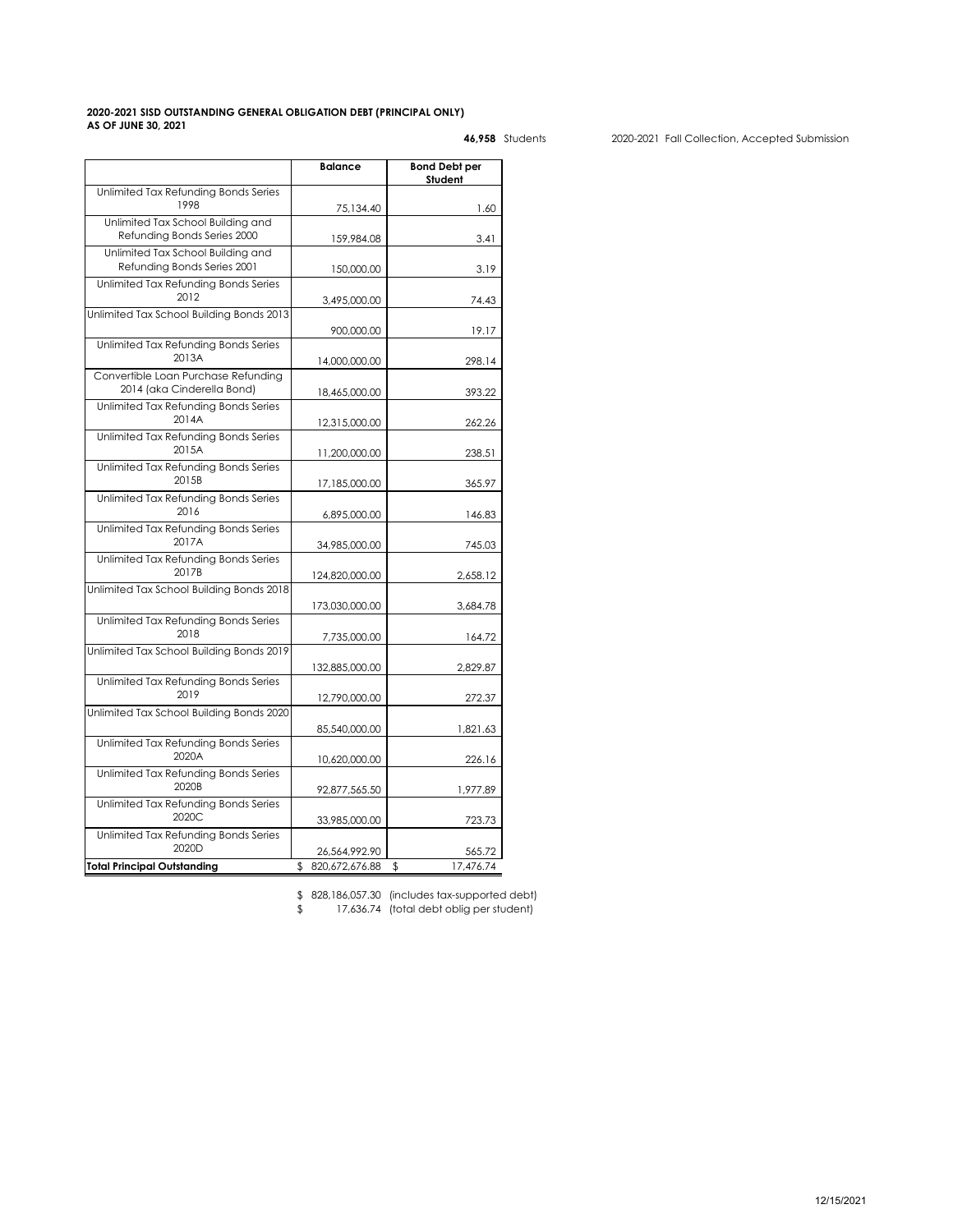## **2020-2021 SISD OUTSTANDING GENERAL OBLIGATION DEBT (PRINCIPAL ONLY) AS OF JUNE 30, 2021**

|                                          | <b>Balance</b>   | <b>Bond Debt per</b><br>Student |
|------------------------------------------|------------------|---------------------------------|
| Unlimited Tax Refunding Bonds Series     |                  |                                 |
| 1998                                     |                  | 1.60                            |
| Unlimited Tax School Building and        | 75,134.40        |                                 |
| Refunding Bonds Series 2000              |                  |                                 |
|                                          | 159,984.08       | 3.41                            |
| Unlimited Tax School Building and        |                  |                                 |
| Refunding Bonds Series 2001              | 150,000.00       | 3.19                            |
| Unlimited Tax Refundina Bonds Series     |                  |                                 |
| 2012                                     | 3,495,000.00     | 74.43                           |
| Unlimited Tax School Building Bonds 2013 |                  |                                 |
|                                          | 900,000.00       | 19.17                           |
| Unlimited Tax Refunding Bonds Series     |                  |                                 |
| 2013A                                    | 14,000,000.00    | 298.14                          |
| Convertible Loan Purchase Refunding      |                  |                                 |
| 2014 (aka Cinderella Bond)               |                  |                                 |
|                                          | 18,465,000.00    | 393.22                          |
| Unlimited Tax Refunding Bonds Series     |                  |                                 |
| 2014A                                    | 12,315,000.00    | 262.26                          |
| Unlimited Tax Refunding Bonds Series     |                  |                                 |
| 2015A                                    | 11,200,000.00    | 238.51                          |
| Unlimited Tax Refunding Bonds Series     |                  |                                 |
| 2015B                                    | 17,185,000.00    | 365.97                          |
| Unlimited Tax Refunding Bonds Series     |                  |                                 |
| 2016                                     | 6,895,000.00     | 146.83                          |
| Unlimited Tax Refunding Bonds Series     |                  |                                 |
| 2017A                                    |                  |                                 |
|                                          | 34,985,000.00    | 745.03                          |
| Unlimited Tax Refunding Bonds Series     |                  |                                 |
| 2017B                                    | 124,820,000.00   | 2,658.12                        |
| Unlimited Tax School Building Bonds 2018 |                  |                                 |
|                                          | 173,030,000.00   | 3,684.78                        |
| Unlimited Tax Refunding Bonds Series     |                  |                                 |
| 2018                                     | 7,735,000.00     | 164.72                          |
| Unlimited Tax School Building Bonds 2019 |                  |                                 |
|                                          | 132,885,000.00   | 2,829.87                        |
| Unlimited Tax Refunding Bonds Series     |                  |                                 |
| 2019                                     | 12,790,000.00    | 272.37                          |
| Unlimited Tax School Building Bonds 2020 |                  |                                 |
|                                          |                  |                                 |
|                                          | 85,540,000.00    | 1,821.63                        |
| Unlimited Tax Refunding Bonds Series     |                  |                                 |
| 2020A                                    | 10,620,000.00    | 226.16                          |
| Unlimited Tax Refunding Bonds Series     |                  |                                 |
| 2020B                                    | 92,877,565.50    | 1,977.89                        |
| Unlimited Tax Refunding Bonds Series     |                  |                                 |
| 2020C                                    | 33,985,000.00    | 723.73                          |
| Unlimited Tax Refunding Bonds Series     |                  |                                 |
| 2020D                                    | 26,564,992.90    | 565.72                          |
| <b>Total Principal Outstanding</b>       | \$820,672,676.88 | 17,476.74<br>\$                 |
|                                          |                  |                                 |

 **46,958** Students 2020-2021 Fall Collection, Accepted Submission

\$ 828,186,057.30 (includes tax-supported debt) \$ 17,636.74 (total debt oblig per student)